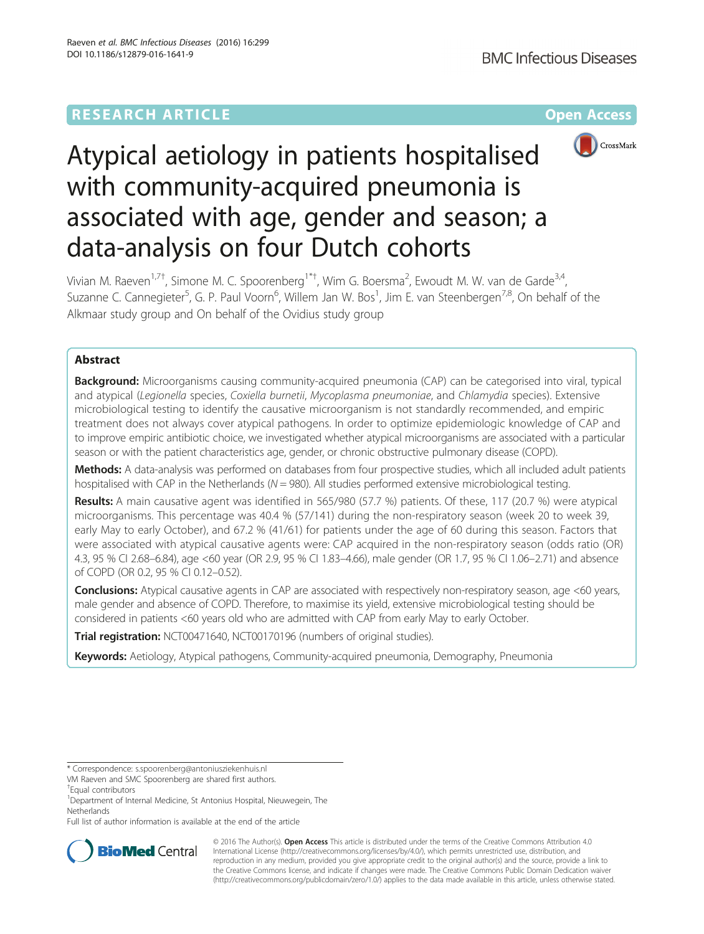## **RESEARCH ARTICLE Example 2014 12:30 The Community Community Community Community Community Community Community**



# Atypical aetiology in patients hospitalised with community-acquired pneumonia is associated with age, gender and season; a data-analysis on four Dutch cohorts

Vivian M. Raeven<sup>1,7†</sup>, Simone M. C. Spoorenberg<sup>1\*†</sup>, Wim G. Boersma<sup>2</sup>, Ewoudt M. W. van de Garde<sup>3,4</sup>, Suzanne C. Cannegieter<sup>5</sup>, G. P. Paul Voorn<sup>6</sup>, Willem Jan W. Bos<sup>1</sup>, Jim E. van Steenbergen<sup>7,8</sup>, On behalf of the Alkmaar study group and On behalf of the Ovidius study group

## Abstract

**Background:** Microorganisms causing community-acquired pneumonia (CAP) can be categorised into viral, typical and atypical (Legionella species, Coxiella burnetii, Mycoplasma pneumoniae, and Chlamydia species). Extensive microbiological testing to identify the causative microorganism is not standardly recommended, and empiric treatment does not always cover atypical pathogens. In order to optimize epidemiologic knowledge of CAP and to improve empiric antibiotic choice, we investigated whether atypical microorganisms are associated with a particular season or with the patient characteristics age, gender, or chronic obstructive pulmonary disease (COPD).

Methods: A data-analysis was performed on databases from four prospective studies, which all included adult patients hospitalised with CAP in the Netherlands ( $N = 980$ ). All studies performed extensive microbiological testing.

Results: A main causative agent was identified in 565/980 (57.7 %) patients. Of these, 117 (20.7 %) were atypical microorganisms. This percentage was 40.4 % (57/141) during the non-respiratory season (week 20 to week 39, early May to early October), and 67.2 % (41/61) for patients under the age of 60 during this season. Factors that were associated with atypical causative agents were: CAP acquired in the non-respiratory season (odds ratio (OR) 4.3, 95 % CI 2.68–6.84), age <60 year (OR 2.9, 95 % CI 1.83–4.66), male gender (OR 1.7, 95 % CI 1.06–2.71) and absence of COPD (OR 0.2, 95 % CI 0.12–0.52).

Conclusions: Atypical causative agents in CAP are associated with respectively non-respiratory season, age <60 years, male gender and absence of COPD. Therefore, to maximise its yield, extensive microbiological testing should be considered in patients <60 years old who are admitted with CAP from early May to early October.

Trial registration: [NCT00471640](https://clinicaltrials.gov/ct2/show/NCT00471640?term=NCT00471640&rank=1), [NCT00170196](https://clinicaltrials.gov/ct2/show/NCT00170196?term=NCT+00170196&rank=1) (numbers of original studies).

Keywords: Aetiology, Atypical pathogens, Community-acquired pneumonia, Demography, Pneumonia

† Equal contributors

Full list of author information is available at the end of the article



© 2016 The Author(s). Open Access This article is distributed under the terms of the Creative Commons Attribution 4.0 International License [\(http://creativecommons.org/licenses/by/4.0/](http://creativecommons.org/licenses/by/4.0/)), which permits unrestricted use, distribution, and reproduction in any medium, provided you give appropriate credit to the original author(s) and the source, provide a link to the Creative Commons license, and indicate if changes were made. The Creative Commons Public Domain Dedication waiver [\(http://creativecommons.org/publicdomain/zero/1.0/](http://creativecommons.org/publicdomain/zero/1.0/)) applies to the data made available in this article, unless otherwise stated.

<sup>\*</sup> Correspondence: [s.spoorenberg@antoniusziekenhuis.nl](mailto:s.spoorenberg@antoniusziekenhuis.nl)

VM Raeven and SMC Spoorenberg are shared first authors.

<sup>&</sup>lt;sup>1</sup>Department of Internal Medicine, St Antonius Hospital, Nieuwegein, The Netherlands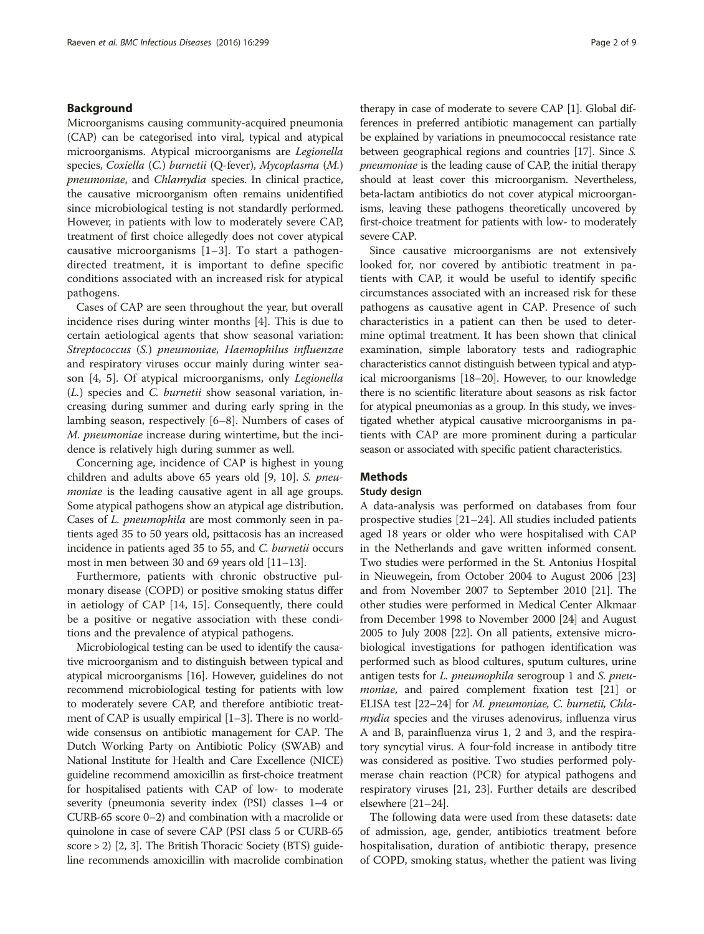## Background

Microorganisms causing community-acquired pneumonia (CAP) can be categorised into viral, typical and atypical microorganisms. Atypical microorganisms are Legionella species, Coxiella (C.) burnetii (Q-fever), Mycoplasma (M.) pneumoniae, and Chlamydia species. In clinical practice, the causative microorganism often remains unidentified since microbiological testing is not standardly performed. However, in patients with low to moderately severe CAP, treatment of first choice allegedly does not cover atypical causative microorganisms [[1](#page-7-0)–[3\]](#page-7-0). To start a pathogendirected treatment, it is important to define specific conditions associated with an increased risk for atypical pathogens.

Cases of CAP are seen throughout the year, but overall incidence rises during winter months [\[4](#page-7-0)]. This is due to certain aetiological agents that show seasonal variation: Streptococcus (S.) pneumoniae, Haemophilus influenzae and respiratory viruses occur mainly during winter season [[4, 5\]](#page-7-0). Of atypical microorganisms, only Legionella (L.) species and C. burnetii show seasonal variation, increasing during summer and during early spring in the lambing season, respectively [\[6](#page-7-0)–[8](#page-7-0)]. Numbers of cases of M. pneumoniae increase during wintertime, but the incidence is relatively high during summer as well.

Concerning age, incidence of CAP is highest in young children and adults above 65 years old [[9, 10](#page-7-0)]. S. pneumoniae is the leading causative agent in all age groups. Some atypical pathogens show an atypical age distribution. Cases of L. pneumophila are most commonly seen in patients aged 35 to 50 years old, psittacosis has an increased incidence in patients aged 35 to 55, and C. burnetii occurs most in men between 30 and 69 years old [\[11](#page-7-0)–[13](#page-7-0)].

Furthermore, patients with chronic obstructive pulmonary disease (COPD) or positive smoking status differ in aetiology of CAP [[14](#page-7-0), [15](#page-7-0)]. Consequently, there could be a positive or negative association with these conditions and the prevalence of atypical pathogens.

Microbiological testing can be used to identify the causative microorganism and to distinguish between typical and atypical microorganisms [\[16](#page-7-0)]. However, guidelines do not recommend microbiological testing for patients with low to moderately severe CAP, and therefore antibiotic treatment of CAP is usually empirical [\[1](#page-7-0)–[3\]](#page-7-0). There is no worldwide consensus on antibiotic management for CAP. The Dutch Working Party on Antibiotic Policy (SWAB) and National Institute for Health and Care Excellence (NICE) guideline recommend amoxicillin as first-choice treatment for hospitalised patients with CAP of low- to moderate severity (pneumonia severity index (PSI) classes 1–4 or CURB-65 score 0–2) and combination with a macrolide or quinolone in case of severe CAP (PSI class 5 or CURB-65 score > 2) [\[2](#page-7-0), [3\]](#page-7-0). The British Thoracic Society (BTS) guideline recommends amoxicillin with macrolide combination therapy in case of moderate to severe CAP [[1](#page-7-0)]. Global differences in preferred antibiotic management can partially be explained by variations in pneumococcal resistance rate between geographical regions and countries [[17](#page-7-0)]. Since S. pneumoniae is the leading cause of CAP, the initial therapy should at least cover this microorganism. Nevertheless, beta-lactam antibiotics do not cover atypical microorganisms, leaving these pathogens theoretically uncovered by first-choice treatment for patients with low- to moderately severe CAP.

Since causative microorganisms are not extensively looked for, nor covered by antibiotic treatment in patients with CAP, it would be useful to identify specific circumstances associated with an increased risk for these pathogens as causative agent in CAP. Presence of such characteristics in a patient can then be used to determine optimal treatment. It has been shown that clinical examination, simple laboratory tests and radiographic characteristics cannot distinguish between typical and atypical microorganisms [\[18](#page-7-0)–[20](#page-7-0)]. However, to our knowledge there is no scientific literature about seasons as risk factor for atypical pneumonias as a group. In this study, we investigated whether atypical causative microorganisms in patients with CAP are more prominent during a particular season or associated with specific patient characteristics.

## Methods

## Study design

A data-analysis was performed on databases from four prospective studies [\[21](#page-7-0)–[24](#page-8-0)]. All studies included patients aged 18 years or older who were hospitalised with CAP in the Netherlands and gave written informed consent. Two studies were performed in the St. Antonius Hospital in Nieuwegein, from October 2004 to August 2006 [[23](#page-8-0)] and from November 2007 to September 2010 [[21](#page-7-0)]. The other studies were performed in Medical Center Alkmaar from December 1998 to November 2000 [\[24\]](#page-8-0) and August 2005 to July 2008 [[22\]](#page-8-0). On all patients, extensive microbiological investigations for pathogen identification was performed such as blood cultures, sputum cultures, urine antigen tests for *L. pneumophila* serogroup 1 and *S. pneu-*moniae, and paired complement fixation test [[21\]](#page-7-0) or ELISA test [\[22](#page-8-0)–[24](#page-8-0)] for M. pneumoniae, C. burnetii, Chla*mydia* species and the viruses adenovirus, influenza virus A and B, parainfluenza virus 1, 2 and 3, and the respiratory syncytial virus. A four‐fold increase in antibody titre was considered as positive. Two studies performed polymerase chain reaction (PCR) for atypical pathogens and respiratory viruses [\[21,](#page-7-0) [23\]](#page-8-0). Further details are described elsewhere [\[21](#page-7-0)–[24\]](#page-8-0).

The following data were used from these datasets: date of admission, age, gender, antibiotics treatment before hospitalisation, duration of antibiotic therapy, presence of COPD, smoking status, whether the patient was living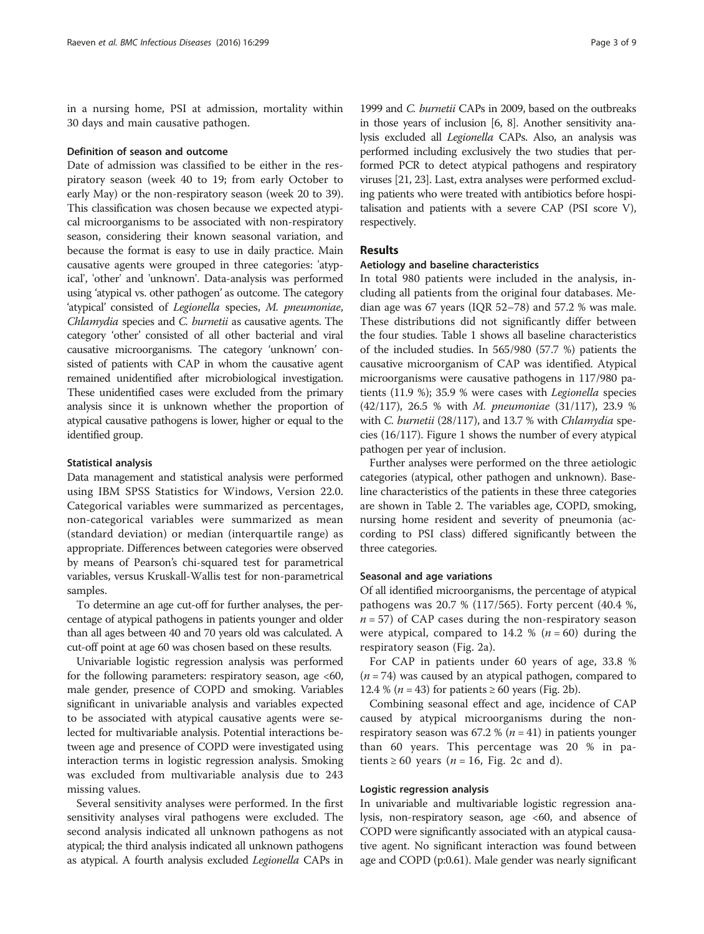in a nursing home, PSI at admission, mortality within 30 days and main causative pathogen.

## Definition of season and outcome

Date of admission was classified to be either in the respiratory season (week 40 to 19; from early October to early May) or the non-respiratory season (week 20 to 39). This classification was chosen because we expected atypical microorganisms to be associated with non-respiratory season, considering their known seasonal variation, and because the format is easy to use in daily practice. Main causative agents were grouped in three categories: 'atypical', 'other' and 'unknown'. Data-analysis was performed using 'atypical vs. other pathogen' as outcome. The category 'atypical' consisted of Legionella species, M. pneumoniae, Chlamydia species and C. burnetii as causative agents. The category 'other' consisted of all other bacterial and viral causative microorganisms. The category 'unknown' consisted of patients with CAP in whom the causative agent remained unidentified after microbiological investigation. These unidentified cases were excluded from the primary analysis since it is unknown whether the proportion of atypical causative pathogens is lower, higher or equal to the identified group.

## Statistical analysis

Data management and statistical analysis were performed using IBM SPSS Statistics for Windows, Version 22.0. Categorical variables were summarized as percentages, non-categorical variables were summarized as mean (standard deviation) or median (interquartile range) as appropriate. Differences between categories were observed by means of Pearson's chi-squared test for parametrical variables, versus Kruskall-Wallis test for non-parametrical samples.

To determine an age cut-off for further analyses, the percentage of atypical pathogens in patients younger and older than all ages between 40 and 70 years old was calculated. A cut-off point at age 60 was chosen based on these results.

Univariable logistic regression analysis was performed for the following parameters: respiratory season, age  $<60$ , male gender, presence of COPD and smoking. Variables significant in univariable analysis and variables expected to be associated with atypical causative agents were selected for multivariable analysis. Potential interactions between age and presence of COPD were investigated using interaction terms in logistic regression analysis. Smoking was excluded from multivariable analysis due to 243 missing values.

Several sensitivity analyses were performed. In the first sensitivity analyses viral pathogens were excluded. The second analysis indicated all unknown pathogens as not atypical; the third analysis indicated all unknown pathogens as atypical. A fourth analysis excluded Legionella CAPs in

1999 and C. burnetii CAPs in 2009, based on the outbreaks in those years of inclusion [\[6](#page-7-0), [8\]](#page-7-0). Another sensitivity analysis excluded all Legionella CAPs. Also, an analysis was performed including exclusively the two studies that performed PCR to detect atypical pathogens and respiratory viruses [\[21](#page-7-0), [23](#page-8-0)]. Last, extra analyses were performed excluding patients who were treated with antibiotics before hospitalisation and patients with a severe CAP (PSI score V), respectively.

## Results

## Aetiology and baseline characteristics

In total 980 patients were included in the analysis, including all patients from the original four databases. Median age was 67 years (IQR 52–78) and 57.2 % was male. These distributions did not significantly differ between the four studies. Table [1](#page-3-0) shows all baseline characteristics of the included studies. In 565/980 (57.7 %) patients the causative microorganism of CAP was identified. Atypical microorganisms were causative pathogens in 117/980 patients (11.9 %); 35.9 % were cases with Legionella species (42/117), 26.5 % with M. pneumoniae (31/117), 23.9 % with C. burnetii (28/117), and 13.7 % with Chlamydia species (16/117). Figure [1](#page-3-0) shows the number of every atypical pathogen per year of inclusion.

Further analyses were performed on the three aetiologic categories (atypical, other pathogen and unknown). Baseline characteristics of the patients in these three categories are shown in Table [2](#page-4-0). The variables age, COPD, smoking, nursing home resident and severity of pneumonia (according to PSI class) differed significantly between the three categories.

## Seasonal and age variations

Of all identified microorganisms, the percentage of atypical pathogens was 20.7 % (117/565). Forty percent (40.4 %,  $n = 57$ ) of CAP cases during the non-respiratory season were atypical, compared to 14.2 % ( $n = 60$ ) during the respiratory season (Fig. [2a\)](#page-4-0).

For CAP in patients under 60 years of age, 33.8 %  $(n = 74)$  was caused by an atypical pathogen, compared to 12.4 % ( $n = 43$ ) for patients  $\geq 60$  years (Fig. [2b](#page-4-0)).

Combining seasonal effect and age, incidence of CAP caused by atypical microorganisms during the nonrespiratory season was 67.2 % ( $n = 41$ ) in patients younger than 60 years. This percentage was 20 % in patients  $\geq 60$  years (*n* = 16, Fig. [2c](#page-4-0) and [d](#page-4-0)).

## Logistic regression analysis

In univariable and multivariable logistic regression analysis, non-respiratory season, age <60, and absence of COPD were significantly associated with an atypical causative agent. No significant interaction was found between age and COPD (p:0.61). Male gender was nearly significant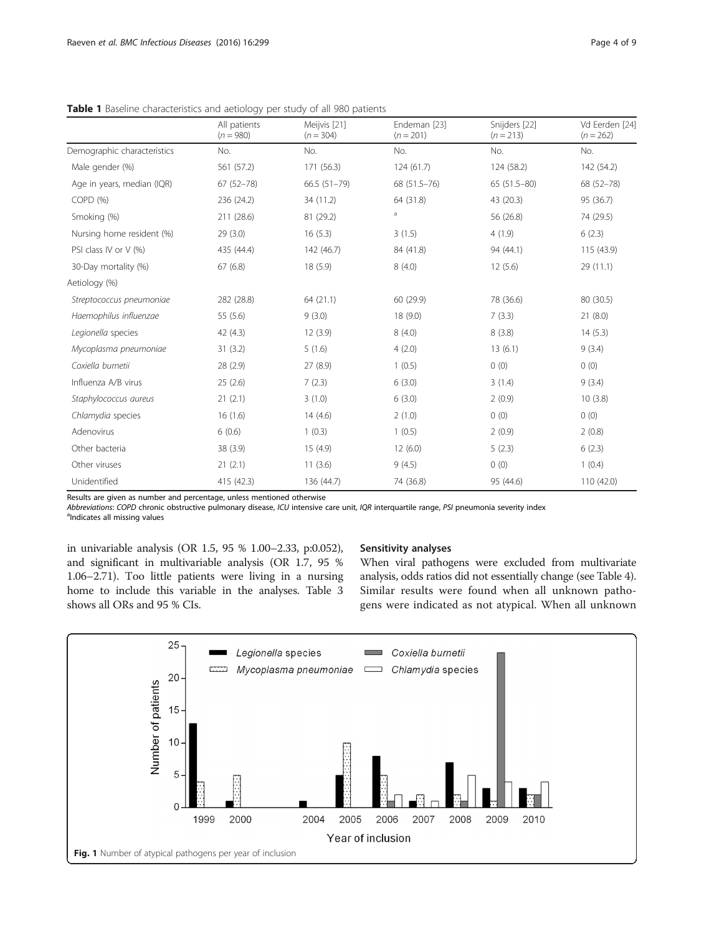|                             | All patients<br>$(n = 980)$ | Meijvis [21]<br>$(n = 304)$ | Endeman [23]<br>$(n = 201)$ | Snijders [22]<br>$(n = 213)$ | Vd Eerden [24]<br>$(n = 262)$ |
|-----------------------------|-----------------------------|-----------------------------|-----------------------------|------------------------------|-------------------------------|
| Demographic characteristics | No.                         | No.                         | No.                         | No.                          | No.                           |
| Male gender (%)             | 561 (57.2)                  | 171 (56.3)                  | 124(61.7)                   | 124 (58.2)                   | 142 (54.2)                    |
| Age in years, median (IQR)  | $67(52 - 78)$               | $66.5(51-79)$               | 68 (51.5-76)                | $65(51.5-80)$                | 68 (52-78)                    |
| COPD (%)                    | 236 (24.2)                  | 34 (11.2)                   | 64 (31.8)                   | 43 (20.3)                    | 95 (36.7)                     |
| Smoking (%)                 | 211 (28.6)                  | 81 (29.2)                   | а                           | 56 (26.8)                    | 74 (29.5)                     |
| Nursing home resident (%)   | 29(3.0)                     | 16(5.3)                     | 3(1.5)                      | 4(1.9)                       | 6(2.3)                        |
| PSI class IV or V (%)       | 435 (44.4)                  | 142 (46.7)                  | 84 (41.8)                   | 94 (44.1)                    | 115(43.9)                     |
| 30-Day mortality (%)        | 67(6.8)                     | 18(5.9)                     | 8(4.0)                      | 12(5.6)                      | 29(11.1)                      |
| Aetiology (%)               |                             |                             |                             |                              |                               |
| Streptococcus pneumoniae    | 282 (28.8)                  | 64(21.1)                    | 60 (29.9)                   | 78 (36.6)                    | 80 (30.5)                     |
| Haemophilus influenzae      | 55 (5.6)                    | 9(3.0)                      | 18 (9.0)                    | 7(3.3)                       | 21(8.0)                       |
| Legionella species          | 42 (4.3)                    | 12(3.9)                     | 8(4.0)                      | 8(3.8)                       | 14(5.3)                       |
| Mycoplasma pneumoniae       | 31(3.2)                     | 5(1.6)                      | 4(2.0)                      | 13(6.1)                      | 9(3.4)                        |
| Coxiella burnetii           | 28 (2.9)                    | 27(8.9)                     | 1(0.5)                      | 0(0)                         | (0)                           |
| Influenza A/B virus         | 25(2.6)                     | 7(2.3)                      | 6(3.0)                      | 3(1.4)                       | 9(3.4)                        |
| Staphylococcus aureus       | 21(2.1)                     | 3(1.0)                      | 6(3.0)                      | 2(0.9)                       | 10(3.8)                       |
| Chlamydia species           | 16(1.6)                     | 14(4.6)                     | 2(1.0)                      | 0(0)                         | 0(0)                          |
| Adenovirus                  | 6(0.6)                      | 1(0.3)                      | 1(0.5)                      | 2(0.9)                       | 2(0.8)                        |
| Other bacteria              | 38 (3.9)                    | 15(4.9)                     | 12(6.0)                     | 5(2.3)                       | 6(2.3)                        |
| Other viruses               | 21(2.1)                     | 11(3.6)                     | 9(4.5)                      | 0(0)                         | 1(0.4)                        |
| Unidentified                | 415 (42.3)                  | 136 (44.7)                  | 74 (36.8)                   | 95 (44.6)                    | 110 (42.0)                    |

<span id="page-3-0"></span>Table 1 Baseline characteristics and aetiology per study of all 980 patients

Results are given as number and percentage, unless mentioned otherwise

Abbreviations: COPD chronic obstructive pulmonary disease, ICU intensive care unit, IQR interquartile range, PSI pneumonia severity index <sup>a</sup>Indicates all missing values

in univariable analysis (OR 1.5, 95 % 1.00–2.33, p:0.052), and significant in multivariable analysis (OR 1.7, 95 % 1.06–2.71). Too little patients were living in a nursing home to include this variable in the analyses. Table [3](#page-5-0) shows all ORs and 95 % CIs.

## Sensitivity analyses

When viral pathogens were excluded from multivariate analysis, odds ratios did not essentially change (see Table [4](#page-5-0)). Similar results were found when all unknown pathogens were indicated as not atypical. When all unknown

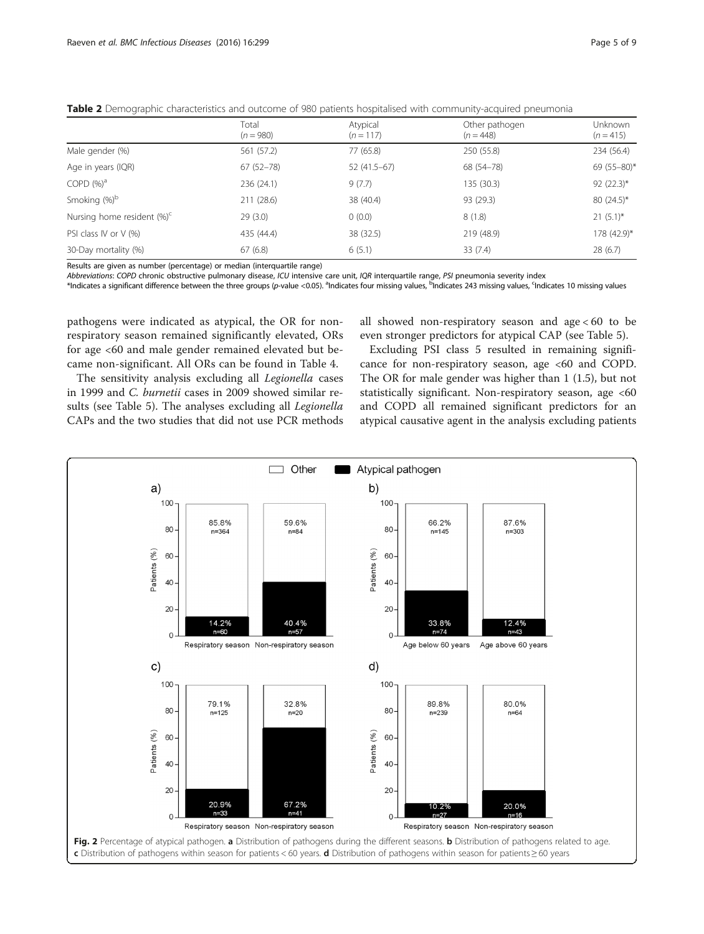|                                | Total<br>$(n = 980)$ | Atypical<br>$(n = 117)$ | Other pathogen<br>$(n = 448)$ | Unknown<br>$(n = 415)$ |
|--------------------------------|----------------------|-------------------------|-------------------------------|------------------------|
| Male gender (%)                | 561 (57.2)           | 77 (65.8)               | 250 (55.8)                    | 234 (56.4)             |
| Age in years (IQR)             | $67(52 - 78)$        | 52 (41.5–67)            | 68 (54-78)                    | 69 (55-80)*            |
| COPD $(%)^a$                   | 236(24.1)            | 9(7.7)                  | 135 (30.3)                    | $92 (22.3)^*$          |
| Smoking (%) <sup>b</sup>       | 211(28.6)            | 38 (40.4)               | 93 (29.3)                     | 80 $(24.5)^*$          |
| Nursing home resident $(\%)^c$ | 29(3.0)              | 0(0.0)                  | 8(1.8)                        | $21(5.1)^*$            |
| PSI class IV or V (%)          | 435 (44.4)           | 38 (32.5)               | 219 (48.9)                    | 178 (42.9)*            |
| 30-Day mortality (%)           | 67(6.8)              | 6(5.1)                  | 33(7.4)                       | 28(6.7)                |

<span id="page-4-0"></span>Table 2 Demographic characteristics and outcome of 980 patients hospitalised with community-acquired pneumonia

Results are given as number (percentage) or median (interquartile range)

Abbreviations: COPD chronic obstructive pulmonary disease, ICU intensive care unit, IQR interquartile range, PSI pneumonia severity index

\*Indicates a significant difference between the three groups (p-value <0.05). <sup>a</sup>Indicates four missing values, <sup>b</sup>Indicates 243 missing values, <sup>c</sup>Indicates 10 missing values

pathogens were indicated as atypical, the OR for nonrespiratory season remained significantly elevated, ORs for age <60 and male gender remained elevated but became non-significant. All ORs can be found in Table [4](#page-5-0).

all showed non-respiratory season and age < 60 to be even stronger predictors for atypical CAP (see Table [5\)](#page-6-0). Excluding PSI class 5 resulted in remaining signifi-

The sensitivity analysis excluding all Legionella cases in 1999 and C. burnetii cases in 2009 showed similar results (see Table [5](#page-6-0)). The analyses excluding all Legionella CAPs and the two studies that did not use PCR methods cance for non-respiratory season, age <60 and COPD. The OR for male gender was higher than 1 (1.5), but not statistically significant. Non-respiratory season, age <60 and COPD all remained significant predictors for an atypical causative agent in the analysis excluding patients

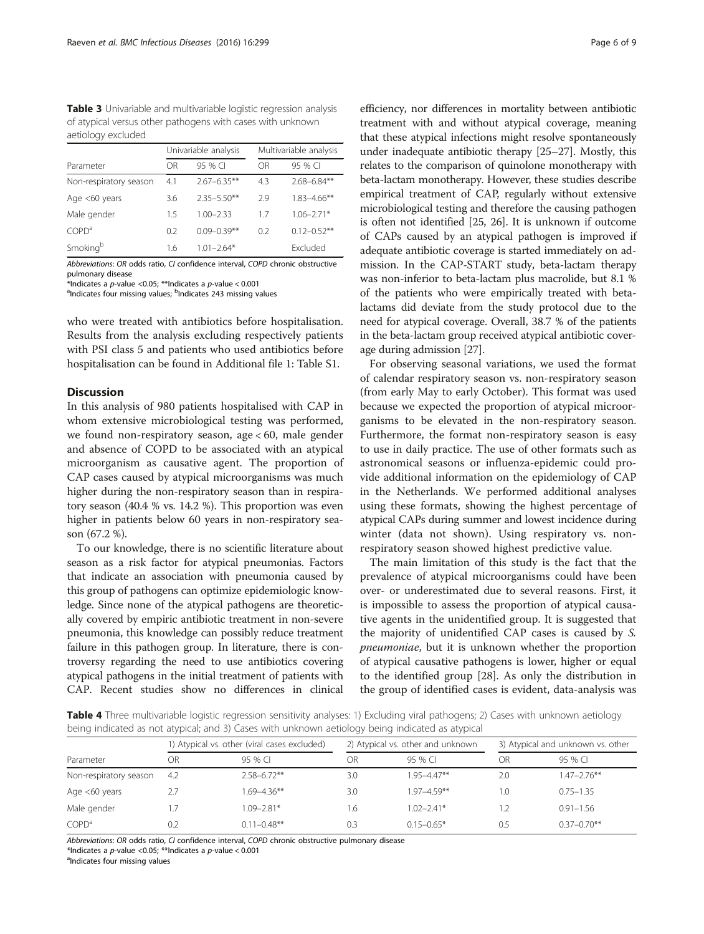<span id="page-5-0"></span>Table 3 Univariable and multivariable logistic regression analysis of atypical versus other pathogens with cases with unknown aetiology excluded

|                          |     | Univariable analysis |     | Multivariable analysis |  |
|--------------------------|-----|----------------------|-----|------------------------|--|
| Parameter                | ΩR  | 95 % CI              | ΟR  | 95 % CI                |  |
| Non-respiratory season   | 4.1 | $2.67 - 6.35**$      | 4.3 | $2.68 - 6.84**$        |  |
| Age $<$ 60 years         | 3.6 | $2.35 - 5.50**$      | 2.9 | $1.83 - 4.66$ **       |  |
| Male gender              | 15  | $1.00 - 2.33$        | 17  | $1.06 - 2.71*$         |  |
| <b>COPD</b> <sup>a</sup> | 0.2 | $0.09 - 0.39**$      | 0.2 | $0.12 - 0.52**$        |  |
| Smoking <sup>b</sup>     | 16  | $1.01 - 2.64*$       |     | <b>Excluded</b>        |  |

Abbreviations: OR odds ratio, CI confidence interval, COPD chronic obstructive pulmonary disease

\*Indicates a p-value <0.05; \*\*Indicates a p-value < 0.001

Indicates four missing values; <sup>b</sup>Indicates 243 missing values

who were treated with antibiotics before hospitalisation. Results from the analysis excluding respectively patients with PSI class 5 and patients who used antibiotics before hospitalisation can be found in Additional file [1:](#page-7-0) Table S1.

## **Discussion**

In this analysis of 980 patients hospitalised with CAP in whom extensive microbiological testing was performed, we found non-respiratory season, age < 60, male gender and absence of COPD to be associated with an atypical microorganism as causative agent. The proportion of CAP cases caused by atypical microorganisms was much higher during the non-respiratory season than in respiratory season (40.4 % vs. 14.2 %). This proportion was even higher in patients below 60 years in non-respiratory season (67.2 %).

To our knowledge, there is no scientific literature about season as a risk factor for atypical pneumonias. Factors that indicate an association with pneumonia caused by this group of pathogens can optimize epidemiologic knowledge. Since none of the atypical pathogens are theoretically covered by empiric antibiotic treatment in non-severe pneumonia, this knowledge can possibly reduce treatment failure in this pathogen group. In literature, there is controversy regarding the need to use antibiotics covering atypical pathogens in the initial treatment of patients with CAP. Recent studies show no differences in clinical

efficiency, nor differences in mortality between antibiotic treatment with and without atypical coverage, meaning that these atypical infections might resolve spontaneously under inadequate antibiotic therapy [[25](#page-8-0)–[27\]](#page-8-0). Mostly, this relates to the comparison of quinolone monotherapy with beta-lactam monotherapy. However, these studies describe empirical treatment of CAP, regularly without extensive microbiological testing and therefore the causing pathogen is often not identified [[25](#page-8-0), [26\]](#page-8-0). It is unknown if outcome of CAPs caused by an atypical pathogen is improved if adequate antibiotic coverage is started immediately on admission. In the CAP-START study, beta-lactam therapy was non-inferior to beta-lactam plus macrolide, but 8.1 % of the patients who were empirically treated with betalactams did deviate from the study protocol due to the need for atypical coverage. Overall, 38.7 % of the patients in the beta-lactam group received atypical antibiotic coverage during admission [\[27\]](#page-8-0).

For observing seasonal variations, we used the format of calendar respiratory season vs. non-respiratory season (from early May to early October). This format was used because we expected the proportion of atypical microorganisms to be elevated in the non-respiratory season. Furthermore, the format non-respiratory season is easy to use in daily practice. The use of other formats such as astronomical seasons or influenza-epidemic could provide additional information on the epidemiology of CAP in the Netherlands. We performed additional analyses using these formats, showing the highest percentage of atypical CAPs during summer and lowest incidence during winter (data not shown). Using respiratory vs. nonrespiratory season showed highest predictive value.

The main limitation of this study is the fact that the prevalence of atypical microorganisms could have been over- or underestimated due to several reasons. First, it is impossible to assess the proportion of atypical causative agents in the unidentified group. It is suggested that the majority of unidentified CAP cases is caused by S. pneumoniae, but it is unknown whether the proportion of atypical causative pathogens is lower, higher or equal to the identified group [\[28\]](#page-8-0). As only the distribution in the group of identified cases is evident, data-analysis was

Table 4 Three multivariable logistic regression sensitivity analyses: 1) Excluding viral pathogens; 2) Cases with unknown aetiology being indicated as not atypical; and 3) Cases with unknown aetiology being indicated as atypical

|                        | 1) Atypical vs. other (viral cases excluded) |                  | 2) Atypical vs. other and unknown |                 | 3) Atypical and unknown vs. other |                  |
|------------------------|----------------------------------------------|------------------|-----------------------------------|-----------------|-----------------------------------|------------------|
| Parameter              | ΟR                                           | 95 % CI          | OR                                | 95 % CI         | ОR                                | 95 % CL          |
| Non-respiratory season | 4.2                                          | $2.58 - 6.72**$  | 3.0                               | 195-447**       | 2.0                               | $1.47 - 2.76$ ** |
| Age $<$ 60 years       |                                              | 1.69–4.36**      | 3.0                               | $1.97 - 4.59**$ | 1.0                               | $0.75 - 1.35$    |
| Male gender            |                                              | $1.09 - 2.81*$   | .6                                | $1.02 - 2.41*$  |                                   | $0.91 - 1.56$    |
| COPD <sup>a</sup>      | 0.2                                          | $0.11 - 0.48$ ** | 0.3                               | $0.15 - 0.65*$  | 0.5                               | $0.37 - 0.70$ ** |

Abbreviations: OR odds ratio, CI confidence interval, COPD chronic obstructive pulmonary disease

\*Indicates a p-value < 0.05; \*\*Indicates a p-value < 0.001

<sup>a</sup>Indicates four missing values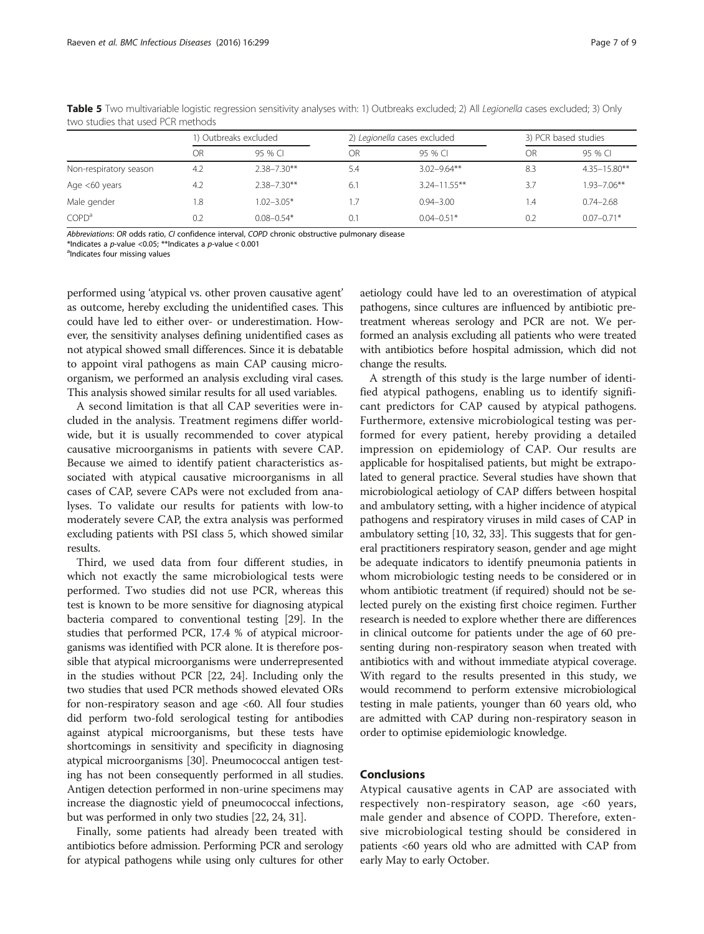|                        |     | 1) Outbreaks excluded |     | 2) Legionella cases excluded |     | 3) PCR based studies |  |
|------------------------|-----|-----------------------|-----|------------------------------|-----|----------------------|--|
|                        | ΟR  | 95 % CI               | ОR  | 95 % CI                      | OR  | 95 % CL              |  |
| Non-respiratory season | 4.2 | $2.38 - 7.30**$       | 5.4 | $3.02 - 9.64$ **             | 8.3 | $4.35 - 15.80**$     |  |
| Age $<$ 60 years       | 4.2 | $2.38 - 7.30**$       | 6.1 | $3.24 - 11.55***$            | 3.7 | $1.93 - 7.06$ **     |  |
| Male gender            | 1.8 | $1.02 - 3.05*$        |     | $0.94 - 3.00$                | 4.، | $0.74 - 2.68$        |  |
| COPD <sup>a</sup>      |     | $0.08 - 0.54*$        | 0.1 | $0.04 - 0.51*$               | 0.2 | $0.07 - 0.71*$       |  |

<span id="page-6-0"></span>Table 5 Two multivariable logistic regression sensitivity analyses with: 1) Outbreaks excluded; 2) All Legionella cases excluded; 3) Only two studies that used PCR methods

Abbreviations: OR odds ratio, CI confidence interval, COPD chronic obstructive pulmonary disease

\*Indicates a p-value < 0.05; \*\*Indicates a p-value < 0.001 <sup>a</sup>Indicates four missing values

performed using 'atypical vs. other proven causative agent' as outcome, hereby excluding the unidentified cases. This could have led to either over- or underestimation. However, the sensitivity analyses defining unidentified cases as not atypical showed small differences. Since it is debatable to appoint viral pathogens as main CAP causing microorganism, we performed an analysis excluding viral cases. This analysis showed similar results for all used variables.

A second limitation is that all CAP severities were included in the analysis. Treatment regimens differ worldwide, but it is usually recommended to cover atypical causative microorganisms in patients with severe CAP. Because we aimed to identify patient characteristics associated with atypical causative microorganisms in all cases of CAP, severe CAPs were not excluded from analyses. To validate our results for patients with low-to moderately severe CAP, the extra analysis was performed excluding patients with PSI class 5, which showed similar results.

Third, we used data from four different studies, in which not exactly the same microbiological tests were performed. Two studies did not use PCR, whereas this test is known to be more sensitive for diagnosing atypical bacteria compared to conventional testing [[29](#page-8-0)]. In the studies that performed PCR, 17.4 % of atypical microorganisms was identified with PCR alone. It is therefore possible that atypical microorganisms were underrepresented in the studies without PCR [[22](#page-8-0), [24](#page-8-0)]. Including only the two studies that used PCR methods showed elevated ORs for non-respiratory season and age  $<60$ . All four studies did perform two-fold serological testing for antibodies against atypical microorganisms, but these tests have shortcomings in sensitivity and specificity in diagnosing atypical microorganisms [[30\]](#page-8-0). Pneumococcal antigen testing has not been consequently performed in all studies. Antigen detection performed in non-urine specimens may increase the diagnostic yield of pneumococcal infections, but was performed in only two studies [[22](#page-8-0), [24, 31](#page-8-0)].

Finally, some patients had already been treated with antibiotics before admission. Performing PCR and serology for atypical pathogens while using only cultures for other aetiology could have led to an overestimation of atypical pathogens, since cultures are influenced by antibiotic pretreatment whereas serology and PCR are not. We performed an analysis excluding all patients who were treated with antibiotics before hospital admission, which did not change the results.

A strength of this study is the large number of identified atypical pathogens, enabling us to identify significant predictors for CAP caused by atypical pathogens. Furthermore, extensive microbiological testing was performed for every patient, hereby providing a detailed impression on epidemiology of CAP. Our results are applicable for hospitalised patients, but might be extrapolated to general practice. Several studies have shown that microbiological aetiology of CAP differs between hospital and ambulatory setting, with a higher incidence of atypical pathogens and respiratory viruses in mild cases of CAP in ambulatory setting [\[10,](#page-7-0) [32](#page-8-0), [33\]](#page-8-0). This suggests that for general practitioners respiratory season, gender and age might be adequate indicators to identify pneumonia patients in whom microbiologic testing needs to be considered or in whom antibiotic treatment (if required) should not be selected purely on the existing first choice regimen. Further research is needed to explore whether there are differences in clinical outcome for patients under the age of 60 presenting during non-respiratory season when treated with antibiotics with and without immediate atypical coverage. With regard to the results presented in this study, we would recommend to perform extensive microbiological testing in male patients, younger than 60 years old, who are admitted with CAP during non-respiratory season in order to optimise epidemiologic knowledge.

## Conclusions

Atypical causative agents in CAP are associated with respectively non-respiratory season, age <60 years, male gender and absence of COPD. Therefore, extensive microbiological testing should be considered in patients <60 years old who are admitted with CAP from early May to early October.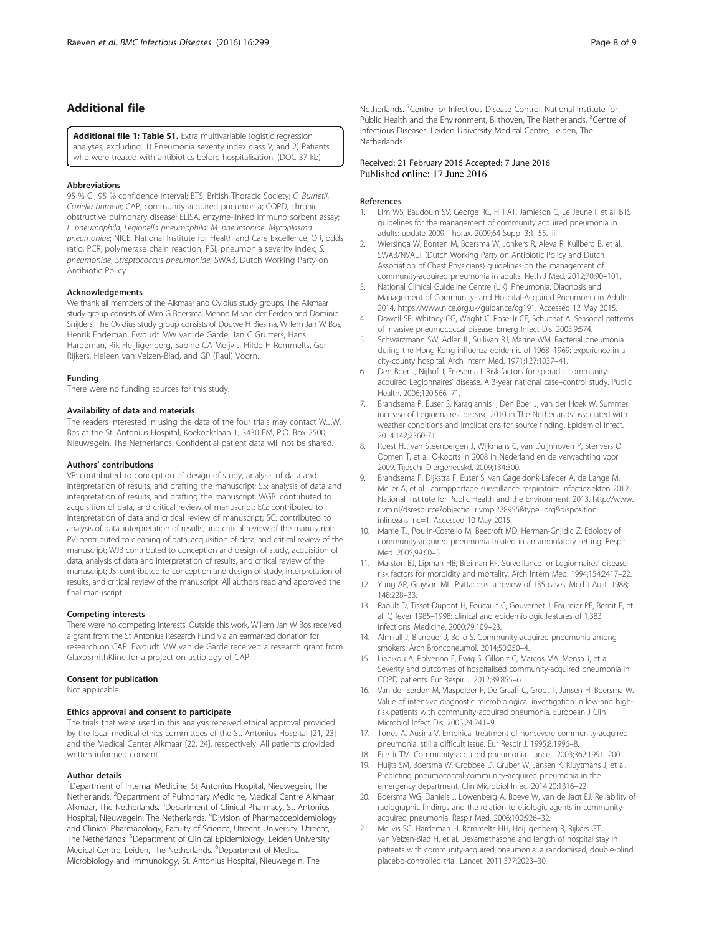## <span id="page-7-0"></span>Additional file

[Additional file 1: Table S1.](dx.doi.org/10.1186/s12879-016-1641-9) Extra multivariable logistic regression analyses, excluding: 1) Pneumonia severity index class V; and 2) Patients who were treated with antibiotics before hospitalisation. (DOC 37 kb)

## Abbreviations

95 % CI, 95 % confidence interval; BTS, British Thoracic Society; C. Burnetii, Coxiella burnetii; CAP, community-acquired pneumonia; COPD, chronic obstructive pulmonary disease; ELISA, enzyme-linked immuno sorbent assay; L. pneumophila, Legionella pneumophila; M. pneumoniae, Mycoplasma pneumoniae; NICE, National Institute for Health and Care Excellence; OR, odds ratio; PCR, polymerase chain reaction; PSI, pneumonia severity index; S. pneumoniae, Streptococcus pneumoniae; SWAB, Dutch Working Party on Antibiotic Policy

### Acknowledgements

We thank all members of the Alkmaar and Ovidius study groups. The Alkmaar study group consists of Wim G Boersma, Menno M van der Eerden and Dominic Snijders. The Ovidius study group consists of Douwe H Biesma, Willem Jan W Bos, Henrik Endeman, Ewoudt MW van de Garde, Jan C Grutters, Hans Hardeman, Rik Heijligenberg, Sabine CA Meijvis, Hilde H Remmelts, Ger T Rijkers, Heleen van Velzen-Blad, and GP (Paul) Voorn.

#### Funding

There were no funding sources for this study.

## Availability of data and materials

The readers interested in using the data of the four trials may contact W.J.W. Bos at the St. Antonius Hospital, Koekoekslaan 1, 3430 EM, P.O. Box 2500, Nieuwegein, The Netherlands. Confidential patient data will not be shared.

## Authors' contributions

VR: contributed to conception of design of study, analysis of data and interpretation of results, and drafting the manuscript; SS: analysis of data and interpretation of results, and drafting the manuscript; WGB: contributed to acquisition of data, and critical review of manuscript; EG: contributed to interpretation of data and critical review of manuscript; SC: contributed to analysis of data, interpretation of results, and critical review of the manuscript; PV: contributed to cleaning of data, acquisition of data, and critical review of the manuscript; WJB contributed to conception and design of study, acquisition of data, analysis of data and interpretation of results, and critical review of the manuscript; JS: contributed to conception and design of study, interpretation of results, and critical review of the manuscript. All authors read and approved the final manuscript.

### Competing interests

There were no competing interests. Outside this work, Willem Jan W Bos received a grant from the St Antonius Research Fund via an earmarked donation for research on CAP. Ewoudt MW van de Garde received a research grant from GlaxoSmithKline for a project on aetiology of CAP.

#### Consent for publication

Not applicable.

### Ethics approval and consent to participate

The trials that were used in this analysis received ethical approval provided by the local medical ethics committees of the St. Antonius Hospital [21, [23\]](#page-8-0) and the Medical Center Alkmaar [\[22, 24](#page-8-0)], respectively. All patients provided written informed consent.

### Author details

<sup>1</sup>Department of Internal Medicine, St Antonius Hospital, Nieuwegein, The Netherlands. <sup>2</sup>Department of Pulmonary Medicine, Medical Centre Alkmaar, Alkmaar, The Netherlands. <sup>3</sup>Department of Clinical Pharmacy, St. Antonius Hospital, Nieuwegein, The Netherlands. <sup>4</sup>Division of Pharmacoepidemiology and Clinical Pharmacology, Faculty of Science, Utrecht University, Utrecht, The Netherlands. <sup>5</sup>Department of Clinical Epidemiology, Leiden University Medical Centre, Leiden, The Netherlands. <sup>6</sup>Department of Medical Microbiology and Immunology, St. Antonius Hospital, Nieuwegein, The

Netherlands. <sup>7</sup> Centre for Infectious Disease Control, National Institute for Public Health and the Environment, Bilthoven, The Netherlands. <sup>8</sup>Centre of Infectious Diseases, Leiden University Medical Centre, Leiden, The **Netherlands** 

## Received: 21 February 2016 Accepted: 7 June 2016 Published online: 17 June 2016

#### References

- 1. Lim WS, Baudouin SV, George RC, Hill AT, Jamieson C, Le Jeune I, et al. BTS guidelines for the management of community acquired pneumonia in adults: update 2009. Thorax. 2009;64 Suppl 3:1–55. iii.
- 2. Wiersinga W, Bonten M, Boersma W, Jonkers R, Aleva R, Kullberg B, et al. SWAB/NVALT (Dutch Working Party on Antibiotic Policy and Dutch Association of Chest Physicians) guidelines on the management of community-acquired pneumonia in adults. Neth J Med. 2012;70:90–101.
- 3. National Clinical Guideline Centre (UK). Pneumonia: Diagnosis and Management of Community- and Hospital-Acquired Pneumonia in Adults. 2014. [https://www.nice.org.uk/guidance/cg191.](https://www.nice.org.uk/guidance/cg191) Accessed 12 May 2015.
- 4. Dowell SF, Whitney CG, Wright C, Rose Jr CE, Schuchat A. Seasonal patterns of invasive pneumococcal disease. Emerg Infect Dis. 2003;9:574.
- 5. Schwarzmann SW, Adler JL, Sullivan RJ, Marine WM. Bacterial pneumonia during the Hong Kong influenza epidemic of 1968–1969: experience in a city-county hospital. Arch Intern Med. 1971;127:1037–41.
- 6. Den Boer J, Nijhof J, Friesema I. Risk factors for sporadic communityacquired Legionnaires' disease. A 3-year national case–control study. Public Health. 2006;120:566–71.
- 7. Brandsema P, Euser S, Karagiannis I, Den Boer J, van der Hoek W. Summer increase of Legionnaires' disease 2010 in The Netherlands associated with weather conditions and implications for source finding. Epidemiol Infect. 2014:142;2360-71.
- 8. Roest HJ, van Steenbergen J, Wijkmans C, van Duijnhoven Y, Stenvers O, Oomen T, et al. Q-koorts in 2008 in Nederland en de verwachting voor 2009. Tijdschr Diergeneeskd. 2009;134:300.
- 9. Brandsema P, Dijkstra F, Euser S, van Gageldonk-Lafeber A, de Lange M, Meijer A, et al. Jaarrapportage surveillance respiratoire infectieziekten 2012. National Institute for Public Health and the Environment. 2013. [http://www.](http://www.rivm.nl/dsresource?objectid=rivmp:228955&type=org&disposition=inline&ns_nc=1) [rivm.nl/dsresource?objectid=rivmp:228955&type=org&disposition=](http://www.rivm.nl/dsresource?objectid=rivmp:228955&type=org&disposition=inline&ns_nc=1) [inline&ns\\_nc=1.](http://www.rivm.nl/dsresource?objectid=rivmp:228955&type=org&disposition=inline&ns_nc=1) Accessed 10 May 2015.
- 10. Marrie TJ, Poulin-Costello M, Beecroft MD, Herman-Gnjidic Z. Etiology of community-acquired pneumonia treated in an ambulatory setting. Respir Med. 2005;99:60–5.
- 11. Marston BJ, Lipman HB, Breiman RF. Surveillance for Legionnaires' disease: risk factors for morbidity and mortality. Arch Intern Med. 1994;154:2417–22.
- 12. Yung AP, Grayson ML. Psittacosis–a review of 135 cases. Med J Aust. 1988; 148:228–33.
- 13. Raoult D, Tissot-Dupont H, Foucault C, Gouvernet J, Fournier PE, Bernit E, et al. Q fever 1985–1998: clinical and epidemiologic features of 1,383 infections. Medicine. 2000;79:109–23.
- 14. Almirall J, Blanquer J, Bello S. Community-acquired pneumonia among smokers. Arch Bronconeumol. 2014;50:250–4.
- 15. Liapikou A, Polverino E, Ewig S, Cillóniz C, Marcos MA, Mensa J, et al. Severity and outcomes of hospitalised community-acquired pneumonia in COPD patients. Eur Respir J. 2012;39:855–61.
- 16. Van der Eerden M, Vlaspolder F, De Graaff C, Groot T, Jansen H, Boersma W. Value of intensive diagnostic microbiological investigation in low-and highrisk patients with community-acquired pneumonia. European J Clin Microbiol Infect Dis. 2005;24:241–9.
- 17. Torres A, Ausina V. Empirical treatment of nonsevere community-acquired pneumonia: still a difficult issue. Eur Respir J. 1995;8:1996–8.
- 18. File Jr TM. Community-acquired pneumonia. Lancet. 2003;362:1991–2001.
- 19. Huijts SM, Boersma W, Grobbee D, Gruber W, Jansen K, Kluytmans J, et al. Predicting pneumococcal community-acquired pneumonia in the emergency department. Clin Microbiol Infec. 2014;20:1316–22.
- 20. Boersma WG, Daniels J, Löwenberg A, Boeve W, van de Jagt EJ. Reliability of radiographic findings and the relation to etiologic agents in communityacquired pneumonia. Respir Med. 2006;100:926–32.
- 21. Meijvis SC, Hardeman H, Remmelts HH, Heijligenberg R, Rijkers GT, van Velzen-Blad H, et al. Dexamethasone and length of hospital stay in patients with community-acquired pneumonia: a randomised, double-blind, placebo-controlled trial. Lancet. 2011;377:2023–30.